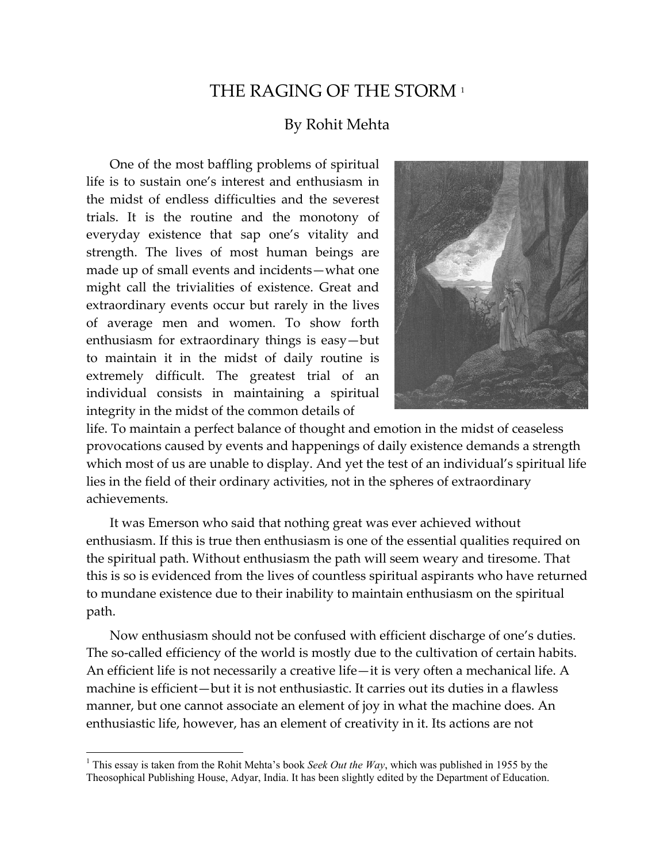## THE RAGING OF THE STORM 1

## By Rohit Mehta

One of the most baffling problems of spiritual life is to sustain one's interest and enthusiasm in the midst of endless difficulties and the severest trials. It is the routine and the monotony of everyday existence that sap one's vitality and strength. The lives of most human beings are made up of small events and incidents—what one might call the trivialities of existence. Great and extraordinary events occur but rarely in the lives of average men and women. To show forth enthusiasm for extraordinary things is easy—but to maintain it in the midst of daily routine is extremely difficult. The greatest trial of an individual consists in maintaining a spiritual integrity in the midst of the common details of



life. To maintain a perfect balance of thought and emotion in the midst of ceaseless provocations caused by events and happenings of daily existence demands a strength which most of us are unable to display. And yet the test of an individual's spiritual life lies in the field of their ordinary activities, not in the spheres of extraordinary achievements.

It was Emerson who said that nothing great was ever achieved without enthusiasm. If this is true then enthusiasm is one of the essential qualities required on the spiritual path. Without enthusiasm the path will seem weary and tiresome. That this is so is evidenced from the lives of countless spiritual aspirants who have returned to mundane existence due to their inability to maintain enthusiasm on the spiritual path.

Now enthusiasm should not be confused with efficient discharge of one's duties. The so-called efficiency of the world is mostly due to the cultivation of certain habits. An efficient life is not necessarily a creative life—it is very often a mechanical life. A machine is efficient—but it is not enthusiastic. It carries out its duties in a flawless manner, but one cannot associate an element of joy in what the machine does. An enthusiastic life, however, has an element of creativity in it. Its actions are not

 $\overline{a}$ 

<sup>&</sup>lt;sup>1</sup> This essay is taken from the Rohit Mehta's book *Seek Out the Way*, which was published in 1955 by the Theosophical Publishing House, Adyar, India. It has been slightly edited by the Department of Education.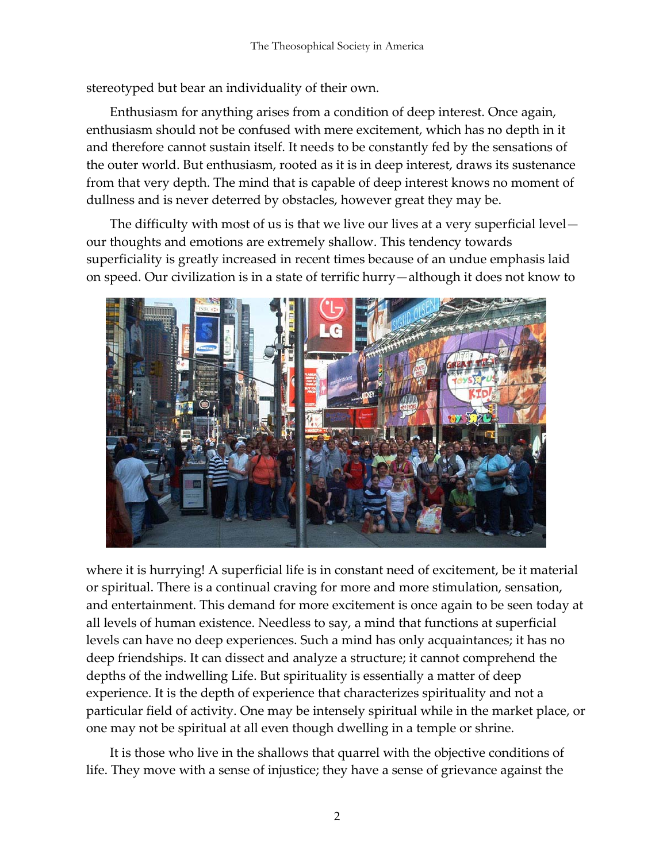stereotyped but bear an individuality of their own.

Enthusiasm for anything arises from a condition of deep interest. Once again, enthusiasm should not be confused with mere excitement, which has no depth in it and therefore cannot sustain itself. It needs to be constantly fed by the sensations of the outer world. But enthusiasm, rooted as it is in deep interest, draws its sustenance from that very depth. The mind that is capable of deep interest knows no moment of dullness and is never deterred by obstacles, however great they may be.

The difficulty with most of us is that we live our lives at a very superficial level our thoughts and emotions are extremely shallow. This tendency towards superficiality is greatly increased in recent times because of an undue emphasis laid on speed. Our civilization is in a state of terrific hurry—although it does not know to



where it is hurrying! A superficial life is in constant need of excitement, be it material or spiritual. There is a continual craving for more and more stimulation, sensation, and entertainment. This demand for more excitement is once again to be seen today at all levels of human existence. Needless to say, a mind that functions at superficial levels can have no deep experiences. Such a mind has only acquaintances; it has no deep friendships. It can dissect and analyze a structure; it cannot comprehend the depths of the indwelling Life. But spirituality is essentially a matter of deep experience. It is the depth of experience that characterizes spirituality and not a particular field of activity. One may be intensely spiritual while in the market place, or one may not be spiritual at all even though dwelling in a temple or shrine.

It is those who live in the shallows that quarrel with the objective conditions of life. They move with a sense of injustice; they have a sense of grievance against the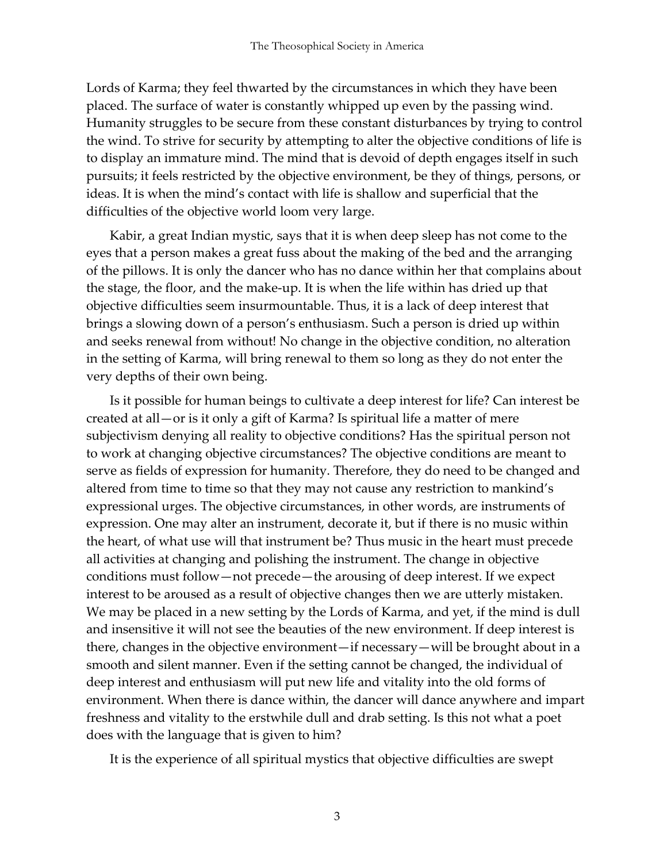Lords of Karma; they feel thwarted by the circumstances in which they have been placed. The surface of water is constantly whipped up even by the passing wind. Humanity struggles to be secure from these constant disturbances by trying to control the wind. To strive for security by attempting to alter the objective conditions of life is to display an immature mind. The mind that is devoid of depth engages itself in such pursuits; it feels restricted by the objective environment, be they of things, persons, or ideas. It is when the mind's contact with life is shallow and superficial that the difficulties of the objective world loom very large.

Kabir, a great Indian mystic, says that it is when deep sleep has not come to the eyes that a person makes a great fuss about the making of the bed and the arranging of the pillows. It is only the dancer who has no dance within her that complains about the stage, the floor, and the make-up. It is when the life within has dried up that objective difficulties seem insurmountable. Thus, it is a lack of deep interest that brings a slowing down of a person's enthusiasm. Such a person is dried up within and seeks renewal from without! No change in the objective condition, no alteration in the setting of Karma, will bring renewal to them so long as they do not enter the very depths of their own being.

Is it possible for human beings to cultivate a deep interest for life? Can interest be created at all—or is it only a gift of Karma? Is spiritual life a matter of mere subjectivism denying all reality to objective conditions? Has the spiritual person not to work at changing objective circumstances? The objective conditions are meant to serve as fields of expression for humanity. Therefore, they do need to be changed and altered from time to time so that they may not cause any restriction to mankind's expressional urges. The objective circumstances, in other words, are instruments of expression. One may alter an instrument, decorate it, but if there is no music within the heart, of what use will that instrument be? Thus music in the heart must precede all activities at changing and polishing the instrument. The change in objective conditions must follow—not precede—the arousing of deep interest. If we expect interest to be aroused as a result of objective changes then we are utterly mistaken. We may be placed in a new setting by the Lords of Karma, and yet, if the mind is dull and insensitive it will not see the beauties of the new environment. If deep interest is there, changes in the objective environment—if necessary—will be brought about in a smooth and silent manner. Even if the setting cannot be changed, the individual of deep interest and enthusiasm will put new life and vitality into the old forms of environment. When there is dance within, the dancer will dance anywhere and impart freshness and vitality to the erstwhile dull and drab setting. Is this not what a poet does with the language that is given to him?

It is the experience of all spiritual mystics that objective difficulties are swept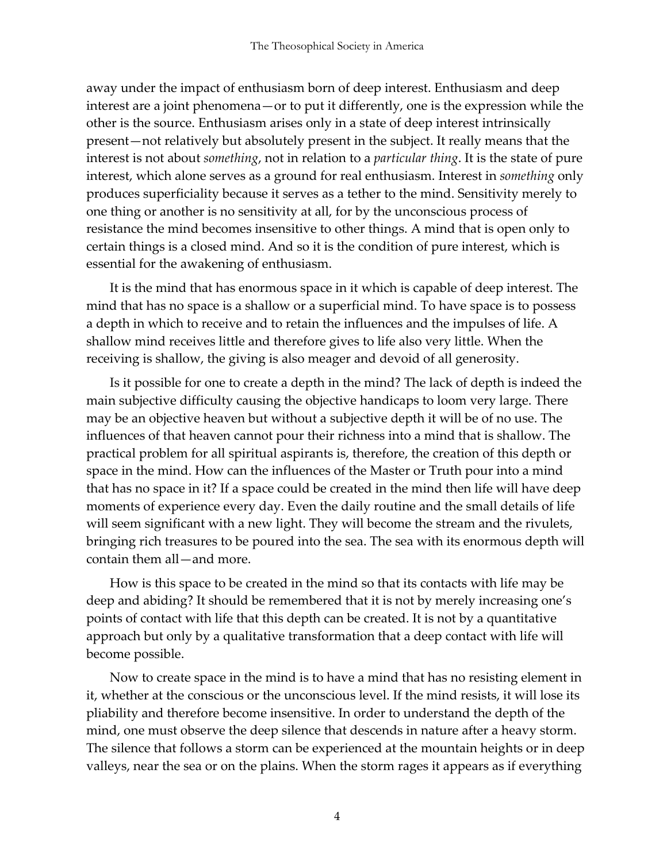away under the impact of enthusiasm born of deep interest. Enthusiasm and deep interest are a joint phenomena—or to put it differently, one is the expression while the other is the source. Enthusiasm arises only in a state of deep interest intrinsically present—not relatively but absolutely present in the subject. It really means that the interest is not about *something*, not in relation to a *particular thing*. It is the state of pure interest, which alone serves as a ground for real enthusiasm. Interest in *something* only produces superficiality because it serves as a tether to the mind. Sensitivity merely to one thing or another is no sensitivity at all, for by the unconscious process of resistance the mind becomes insensitive to other things. A mind that is open only to certain things is a closed mind. And so it is the condition of pure interest, which is essential for the awakening of enthusiasm.

It is the mind that has enormous space in it which is capable of deep interest. The mind that has no space is a shallow or a superficial mind. To have space is to possess a depth in which to receive and to retain the influences and the impulses of life. A shallow mind receives little and therefore gives to life also very little. When the receiving is shallow, the giving is also meager and devoid of all generosity.

Is it possible for one to create a depth in the mind? The lack of depth is indeed the main subjective difficulty causing the objective handicaps to loom very large. There may be an objective heaven but without a subjective depth it will be of no use. The influences of that heaven cannot pour their richness into a mind that is shallow. The practical problem for all spiritual aspirants is, therefore, the creation of this depth or space in the mind. How can the influences of the Master or Truth pour into a mind that has no space in it? If a space could be created in the mind then life will have deep moments of experience every day. Even the daily routine and the small details of life will seem significant with a new light. They will become the stream and the rivulets, bringing rich treasures to be poured into the sea. The sea with its enormous depth will contain them all—and more.

How is this space to be created in the mind so that its contacts with life may be deep and abiding? It should be remembered that it is not by merely increasing one's points of contact with life that this depth can be created. It is not by a quantitative approach but only by a qualitative transformation that a deep contact with life will become possible.

Now to create space in the mind is to have a mind that has no resisting element in it, whether at the conscious or the unconscious level. If the mind resists, it will lose its pliability and therefore become insensitive. In order to understand the depth of the mind, one must observe the deep silence that descends in nature after a heavy storm. The silence that follows a storm can be experienced at the mountain heights or in deep valleys, near the sea or on the plains. When the storm rages it appears as if everything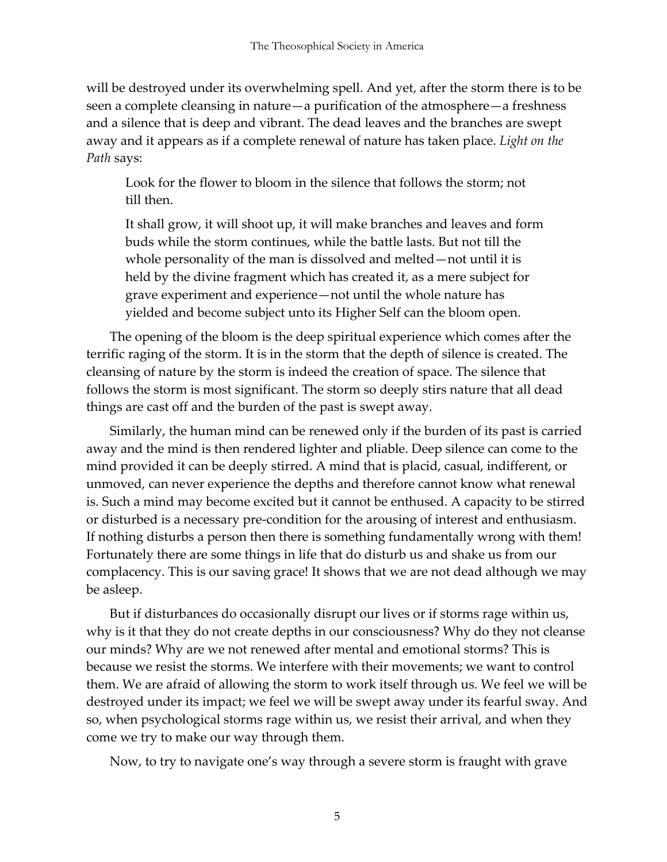will be destroyed under its overwhelming spell. And yet, after the storm there is to be seen a complete cleansing in nature—a purification of the atmosphere—a freshness and a silence that is deep and vibrant. The dead leaves and the branches are swept away and it appears as if a complete renewal of nature has taken place. *Light on the Path* says:

Look for the flower to bloom in the silence that follows the storm; not till then.

It shall grow, it will shoot up, it will make branches and leaves and form buds while the storm continues, while the battle lasts. But not till the whole personality of the man is dissolved and melted—not until it is held by the divine fragment which has created it, as a mere subject for grave experiment and experience—not until the whole nature has yielded and become subject unto its Higher Self can the bloom open.

The opening of the bloom is the deep spiritual experience which comes after the terrific raging of the storm. It is in the storm that the depth of silence is created. The cleansing of nature by the storm is indeed the creation of space. The silence that follows the storm is most significant. The storm so deeply stirs nature that all dead things are cast off and the burden of the past is swept away.

Similarly, the human mind can be renewed only if the burden of its past is carried away and the mind is then rendered lighter and pliable. Deep silence can come to the mind provided it can be deeply stirred. A mind that is placid, casual, indifferent, or unmoved, can never experience the depths and therefore cannot know what renewal is. Such a mind may become excited but it cannot be enthused. A capacity to be stirred or disturbed is a necessary pre-condition for the arousing of interest and enthusiasm. If nothing disturbs a person then there is something fundamentally wrong with them! Fortunately there are some things in life that do disturb us and shake us from our complacency. This is our saving grace! It shows that we are not dead although we may be asleep.

But if disturbances do occasionally disrupt our lives or if storms rage within us, why is it that they do not create depths in our consciousness? Why do they not cleanse our minds? Why are we not renewed after mental and emotional storms? This is because we resist the storms. We interfere with their movements; we want to control them. We are afraid of allowing the storm to work itself through us. We feel we will be destroyed under its impact; we feel we will be swept away under its fearful sway. And so, when psychological storms rage within us, we resist their arrival, and when they come we try to make our way through them.

Now, to try to navigate one's way through a severe storm is fraught with grave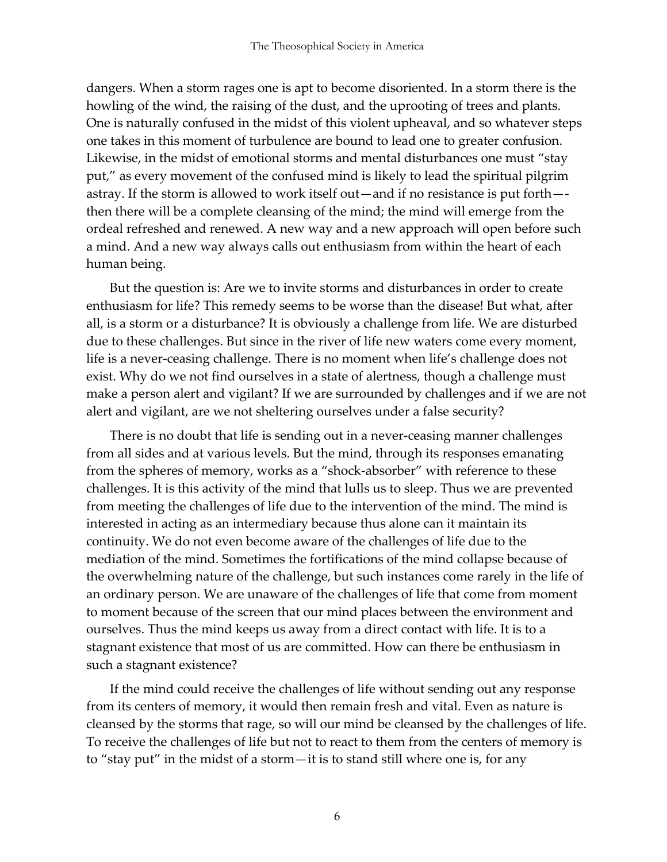dangers. When a storm rages one is apt to become disoriented. In a storm there is the howling of the wind, the raising of the dust, and the uprooting of trees and plants. One is naturally confused in the midst of this violent upheaval, and so whatever steps one takes in this moment of turbulence are bound to lead one to greater confusion. Likewise, in the midst of emotional storms and mental disturbances one must "stay put," as every movement of the confused mind is likely to lead the spiritual pilgrim astray. If the storm is allowed to work itself out—and if no resistance is put forth— then there will be a complete cleansing of the mind; the mind will emerge from the ordeal refreshed and renewed. A new way and a new approach will open before such a mind. And a new way always calls out enthusiasm from within the heart of each human being.

But the question is: Are we to invite storms and disturbances in order to create enthusiasm for life? This remedy seems to be worse than the disease! But what, after all, is a storm or a disturbance? It is obviously a challenge from life. We are disturbed due to these challenges. But since in the river of life new waters come every moment, life is a never-ceasing challenge. There is no moment when life's challenge does not exist. Why do we not find ourselves in a state of alertness, though a challenge must make a person alert and vigilant? If we are surrounded by challenges and if we are not alert and vigilant, are we not sheltering ourselves under a false security?

There is no doubt that life is sending out in a never-ceasing manner challenges from all sides and at various levels. But the mind, through its responses emanating from the spheres of memory, works as a "shock-absorber" with reference to these challenges. It is this activity of the mind that lulls us to sleep. Thus we are prevented from meeting the challenges of life due to the intervention of the mind. The mind is interested in acting as an intermediary because thus alone can it maintain its continuity. We do not even become aware of the challenges of life due to the mediation of the mind. Sometimes the fortifications of the mind collapse because of the overwhelming nature of the challenge, but such instances come rarely in the life of an ordinary person. We are unaware of the challenges of life that come from moment to moment because of the screen that our mind places between the environment and ourselves. Thus the mind keeps us away from a direct contact with life. It is to a stagnant existence that most of us are committed. How can there be enthusiasm in such a stagnant existence?

If the mind could receive the challenges of life without sending out any response from its centers of memory, it would then remain fresh and vital. Even as nature is cleansed by the storms that rage, so will our mind be cleansed by the challenges of life. To receive the challenges of life but not to react to them from the centers of memory is to "stay put" in the midst of a storm—it is to stand still where one is, for any